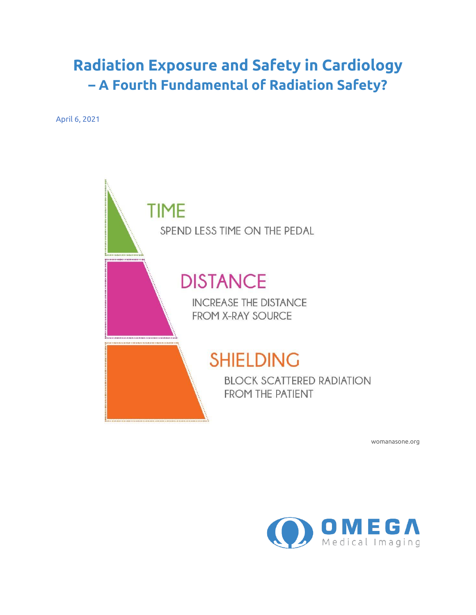## **Radiation Exposure and Safety in Cardiology – A Fourth Fundamental of Radiation Safety?**

April 6, 2021



womanasone.org

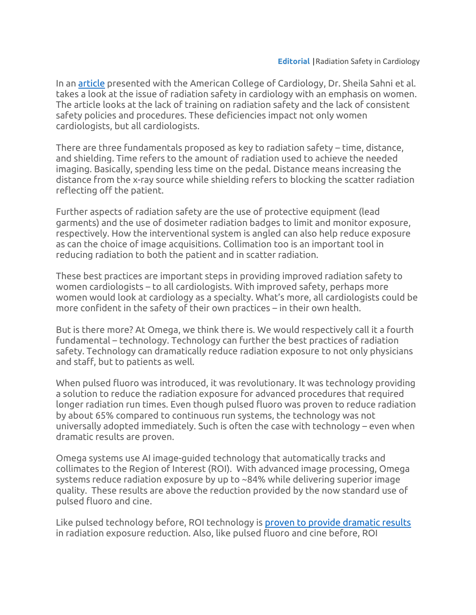In an [article](https://www.acc.org/latest-in-cardiology/articles/2021/01/05/21/26/radiation-safety-in-the-practice-of-cardiology-with-an-emphasis-on-special-considerations-in-women) presented with the American College of Cardiology, Dr. Sheila Sahni et al. takes a look at the issue of radiation safety in cardiology with an emphasis on women. The article looks at the lack of training on radiation safety and the lack of consistent safety policies and procedures. These deficiencies impact not only women cardiologists, but all cardiologists.

There are three fundamentals proposed as key to radiation safety – time, distance, and shielding. Time refers to the amount of radiation used to achieve the needed imaging. Basically, spending less time on the pedal. Distance means increasing the distance from the x-ray source while shielding refers to blocking the scatter radiation reflecting off the patient.

Further aspects of radiation safety are the use of protective equipment (lead garments) and the use of dosimeter radiation badges to limit and monitor exposure, respectively. How the interventional system is angled can also help reduce exposure as can the choice of image acquisitions. Collimation too is an important tool in reducing radiation to both the patient and in scatter radiation.

These best practices are important steps in providing improved radiation safety to women cardiologists – to all cardiologists. With improved safety, perhaps more women would look at cardiology as a specialty. What's more, all cardiologists could be more confident in the safety of their own practices – in their own health.

But is there more? At Omega, we think there is. We would respectively call it a fourth fundamental – technology. Technology can further the best practices of radiation safety. Technology can dramatically reduce radiation exposure to not only physicians and staff, but to patients as well.

When pulsed fluoro was introduced, it was revolutionary. It was technology providing a solution to reduce the radiation exposure for advanced procedures that required longer radiation run times. Even though pulsed fluoro was proven to reduce radiation by about 65% compared to continuous run systems, the technology was not universally adopted immediately. Such is often the case with technology – even when dramatic results are proven.

Omega systems use AI image-guided technology that automatically tracks and collimates to the Region of Interest (ROI). With advanced image processing, Omega systems reduce radiation exposure by up to ~84% while delivering superior image quality. These results are above the reduction provided by the now standard use of pulsed fluoro and cine.

Like pulsed technology before, ROI technology i[s proven to provide dramatic results](https://www.omegamedicalimaging.com/clinical-data/key-clinical-data/#RadCompare) in radiation exposure reduction. Also, like pulsed fluoro and cine before, ROI